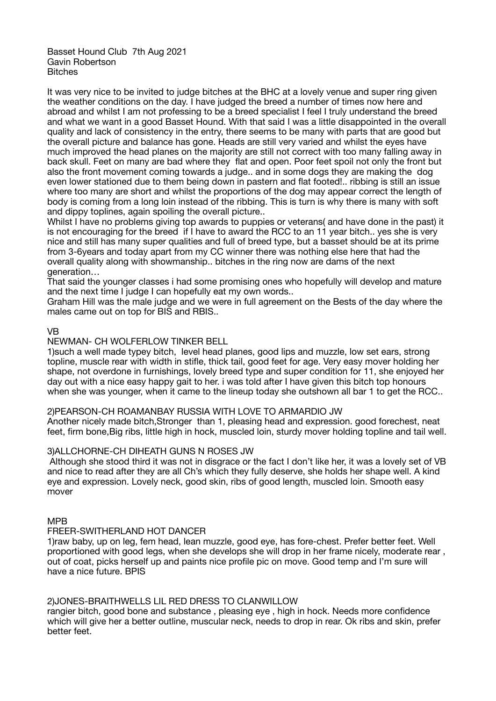Basset Hound Club 7th Aug 2021 Gavin Robertson **Bitches** 

It was very nice to be invited to judge bitches at the BHC at a lovely venue and super ring given the weather conditions on the day. I have judged the breed a number of times now here and abroad and whilst I am not professing to be a breed specialist I feel I truly understand the breed and what we want in a good Basset Hound. With that said I was a little disappointed in the overall quality and lack of consistency in the entry, there seems to be many with parts that are good but the overall picture and balance has gone. Heads are still very varied and whilst the eyes have much improved the head planes on the majority are still not correct with too many falling away in back skull. Feet on many are bad where they flat and open. Poor feet spoil not only the front but also the front movement coming towards a judge.. and in some dogs they are making the dog even lower stationed due to them being down in pastern and flat footed!.. ribbing is still an issue where too many are short and whilst the proportions of the dog may appear correct the length of body is coming from a long loin instead of the ribbing. This is turn is why there is many with soft and dippy toplines, again spoiling the overall picture..

Whilst I have no problems giving top awards to puppies or veterans( and have done in the past) it is not encouraging for the breed if I have to award the RCC to an 11 year bitch.. yes she is very nice and still has many super qualities and full of breed type, but a basset should be at its prime from 3-6years and today apart from my CC winner there was nothing else here that had the overall quality along with showmanship.. bitches in the ring now are dams of the next generation…

That said the younger classes i had some promising ones who hopefully will develop and mature and the next time I judge I can hopefully eat my own words..

Graham Hill was the male judge and we were in full agreement on the Bests of the day where the males came out on top for BIS and RBIS..

### VB

# NEWMAN- CH WOLFERLOW TINKER BELL

1)such a well made typey bitch, level head planes, good lips and muzzle, low set ears, strong topline, muscle rear with width in stifle, thick tail, good feet for age. Very easy mover holding her shape, not overdone in furnishings, lovely breed type and super condition for 11, she enjoyed her day out with a nice easy happy gait to her. i was told after I have given this bitch top honours when she was younger, when it came to the lineup today she outshown all bar 1 to get the RCC..

### 2)PEARSON-CH ROAMANBAY RUSSIA WITH LOVE TO ARMARDIO JW

Another nicely made bitch,Stronger than 1, pleasing head and expression. good forechest, neat feet, firm bone,Big ribs, little high in hock, muscled loin, sturdy mover holding topline and tail well.

### 3)ALLCHORNE-CH DIHEATH GUNS N ROSES JW

 Although she stood third it was not in disgrace or the fact I don't like her, it was a lovely set of VB and nice to read after they are all Ch's which they fully deserve, she holds her shape well. A kind eye and expression. Lovely neck, good skin, ribs of good length, muscled loin. Smooth easy mover

### MPB

### FREER-SWITHERLAND HOT DANCER

1)raw baby, up on leg, fem head, lean muzzle, good eye, has fore-chest. Prefer better feet. Well proportioned with good legs, when she develops she will drop in her frame nicely, moderate rear , out of coat, picks herself up and paints nice profile pic on move. Good temp and I'm sure will have a nice future. BPIS

### 2)JONES-BRAITHWELLS LIL RED DRESS TO CLANWILLOW

rangier bitch, good bone and substance , pleasing eye , high in hock. Needs more confidence which will give her a better outline, muscular neck, needs to drop in rear. Ok ribs and skin, prefer better feet.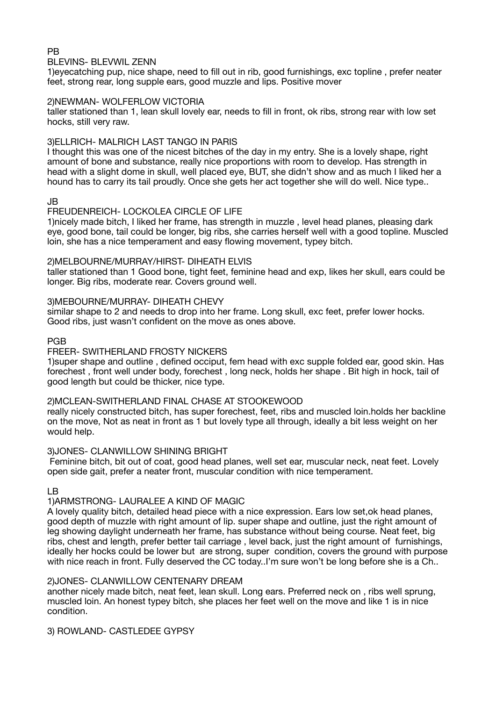### PB

#### BLEVINS- BLEVWIL ZENN

1)eyecatching pup, nice shape, need to fill out in rib, good furnishings, exc topline , prefer neater feet, strong rear, long supple ears, good muzzle and lips. Positive mover

### 2)NEWMAN- WOLFERLOW VICTORIA

taller stationed than 1, lean skull lovely ear, needs to fill in front, ok ribs, strong rear with low set hocks, still very raw.

### 3)ELLRICH- MALRICH LAST TANGO IN PARIS

I thought this was one of the nicest bitches of the day in my entry. She is a lovely shape, right amount of bone and substance, really nice proportions with room to develop. Has strength in head with a slight dome in skull, well placed eye, BUT, she didn't show and as much I liked her a hound has to carry its tail proudly. Once she gets her act together she will do well. Nice type..

#### JB

#### FREUDENREICH- LOCKOLEA CIRCLE OF LIFE

1)nicely made bitch, I liked her frame, has strength in muzzle , level head planes, pleasing dark eye, good bone, tail could be longer, big ribs, she carries herself well with a good topline. Muscled loin, she has a nice temperament and easy flowing movement, typey bitch.

#### 2)MELBOURNE/MURRAY/HIRST- DIHEATH ELVIS

taller stationed than 1 Good bone, tight feet, feminine head and exp, likes her skull, ears could be longer. Big ribs, moderate rear. Covers ground well.

#### 3)MEBOURNE/MURRAY- DIHEATH CHEVY

similar shape to 2 and needs to drop into her frame. Long skull, exc feet, prefer lower hocks. Good ribs, just wasn't confident on the move as ones above.

#### PGB

# FREER- SWITHERLAND FROSTY NICKERS

1)super shape and outline , defined occiput, fem head with exc supple folded ear, good skin. Has forechest , front well under body, forechest , long neck, holds her shape . Bit high in hock, tail of good length but could be thicker, nice type.

#### 2)MCLEAN-SWITHERLAND FINAL CHASE AT STOOKEWOOD

really nicely constructed bitch, has super forechest, feet, ribs and muscled loin.holds her backline on the move, Not as neat in front as 1 but lovely type all through, ideally a bit less weight on her would help.

#### 3)JONES- CLANWILLOW SHINING BRIGHT

 Feminine bitch, bit out of coat, good head planes, well set ear, muscular neck, neat feet. Lovely open side gait, prefer a neater front, muscular condition with nice temperament.

### LB

### 1)ARMSTRONG- LAURALEE A KIND OF MAGIC

A lovely quality bitch, detailed head piece with a nice expression. Ears low set,ok head planes, good depth of muzzle with right amount of lip. super shape and outline, just the right amount of leg showing daylight underneath her frame, has substance without being course. Neat feet, big ribs, chest and length, prefer better tail carriage , level back, just the right amount of furnishings, ideally her hocks could be lower but are strong, super condition, covers the ground with purpose with nice reach in front. Fully deserved the CC today..I'm sure won't be long before she is a Ch..

### 2)JONES- CLANWILLOW CENTENARY DREAM

another nicely made bitch, neat feet, lean skull. Long ears. Preferred neck on , ribs well sprung, muscled loin. An honest typey bitch, she places her feet well on the move and like 1 is in nice condition.

### 3) ROWLAND- CASTLEDEE GYPSY